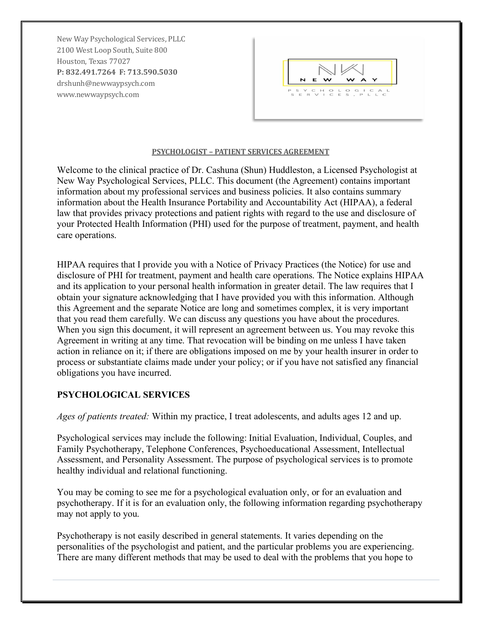New Way Psychological Services, PLLC 2100 West Loop South, Suite 800 Houston, Texas 77027 **P: 832.491.7264 F: 713.590.5030** drshunh@newwaypsych.com www.newwaypsych.com



#### **PSYCHOLOGIST - PATIENT SERVICES AGREEMENT**

Welcome to the clinical practice of Dr. Cashuna (Shun) Huddleston, a Licensed Psychologist at New Way Psychological Services, PLLC. This document (the Agreement) contains important information about my professional services and business policies. It also contains summary information about the Health Insurance Portability and Accountability Act (HIPAA), a federal law that provides privacy protections and patient rights with regard to the use and disclosure of your Protected Health Information (PHI) used for the purpose of treatment, payment, and health care operations.

HIPAA requires that I provide you with a Notice of Privacy Practices (the Notice) for use and disclosure of PHI for treatment, payment and health care operations. The Notice explains HIPAA and its application to your personal health information in greater detail. The law requires that I obtain your signature acknowledging that I have provided you with this information. Although this Agreement and the separate Notice are long and sometimes complex, it is very important that you read them carefully. We can discuss any questions you have about the procedures. When you sign this document, it will represent an agreement between us. You may revoke this Agreement in writing at any time. That revocation will be binding on me unless I have taken action in reliance on it; if there are obligations imposed on me by your health insurer in order to process or substantiate claims made under your policy; or if you have not satisfied any financial obligations you have incurred.

# **PSYCHOLOGICAL SERVICES**

*Ages of patients treated:* Within my practice, I treat adolescents, and adults ages 12 and up.

Psychological services may include the following: Initial Evaluation, Individual, Couples, and Family Psychotherapy, Telephone Conferences, Psychoeducational Assessment, Intellectual Assessment, and Personality Assessment. The purpose of psychological services is to promote healthy individual and relational functioning.

You may be coming to see me for a psychological evaluation only, or for an evaluation and psychotherapy. If it is for an evaluation only, the following information regarding psychotherapy may not apply to you.

Psychotherapy is not easily described in general statements. It varies depending on the personalities of the psychologist and patient, and the particular problems you are experiencing. There are many different methods that may be used to deal with the problems that you hope to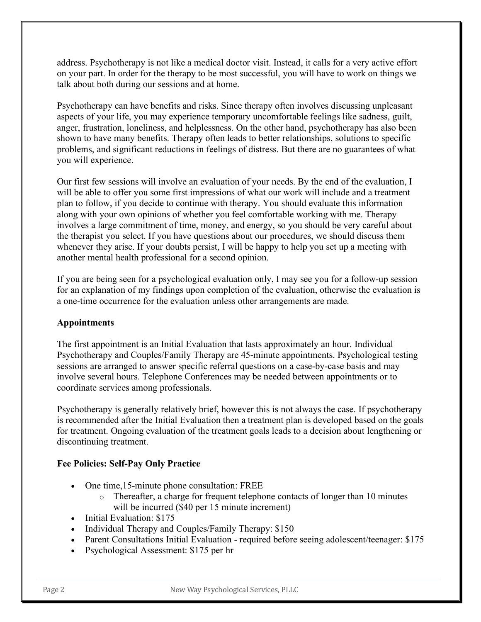address. Psychotherapy is not like a medical doctor visit. Instead, it calls for a very active effort on your part. In order for the therapy to be most successful, you will have to work on things we talk about both during our sessions and at home.

Psychotherapy can have benefits and risks. Since therapy often involves discussing unpleasant aspects of your life, you may experience temporary uncomfortable feelings like sadness, guilt, anger, frustration, loneliness, and helplessness. On the other hand, psychotherapy has also been shown to have many benefits. Therapy often leads to better relationships, solutions to specific problems, and significant reductions in feelings of distress. But there are no guarantees of what you will experience.

Our first few sessions will involve an evaluation of your needs. By the end of the evaluation, I will be able to offer you some first impressions of what our work will include and a treatment plan to follow, if you decide to continue with therapy. You should evaluate this information along with your own opinions of whether you feel comfortable working with me. Therapy involves a large commitment of time, money, and energy, so you should be very careful about the therapist you select. If you have questions about our procedures, we should discuss them whenever they arise. If your doubts persist, I will be happy to help you set up a meeting with another mental health professional for a second opinion.

If you are being seen for a psychological evaluation only, I may see you for a follow-up session for an explanation of my findings upon completion of the evaluation, otherwise the evaluation is a one-time occurrence for the evaluation unless other arrangements are made.

# **Appointments**

The first appointment is an Initial Evaluation that lasts approximately an hour. Individual Psychotherapy and Couples/Family Therapy are 45-minute appointments. Psychological testing sessions are arranged to answer specific referral questions on a case-by-case basis and may involve several hours. Telephone Conferences may be needed between appointments or to coordinate services among professionals.

Psychotherapy is generally relatively brief, however this is not always the case. If psychotherapy is recommended after the Initial Evaluation then a treatment plan is developed based on the goals for treatment. Ongoing evaluation of the treatment goals leads to a decision about lengthening or discontinuing treatment.

# **Fee Policies: Self-Pay Only Practice**

- One time, 15-minute phone consultation: FREE
	- o Thereafter, a charge for frequent telephone contacts of longer than 10 minutes will be incurred (\$40 per 15 minute increment)
- Initial Evaluation: \$175
- Individual Therapy and Couples/Family Therapy: \$150
- Parent Consultations Initial Evaluation required before seeing adolescent/teenager: \$175
- Psychological Assessment: \$175 per hr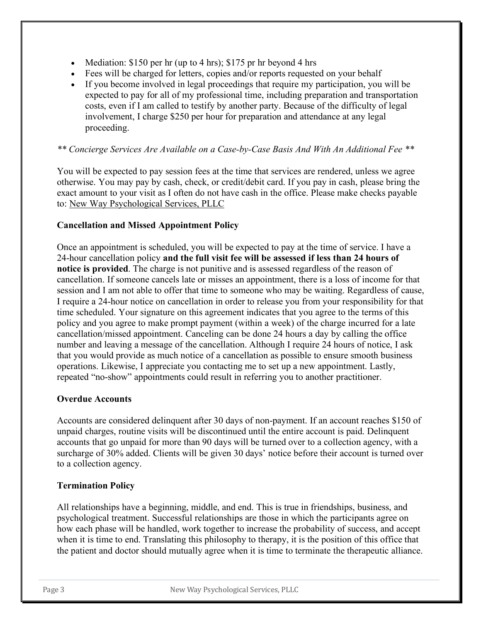- Mediation:  $$150$  per hr (up to 4 hrs);  $$175$  pr hr beyond 4 hrs
- Fees will be charged for letters, copies and/or reports requested on your behalf
- If you become involved in legal proceedings that require my participation, you will be expected to pay for all of my professional time, including preparation and transportation costs, even if I am called to testify by another party. Because of the difficulty of legal involvement, I charge \$250 per hour for preparation and attendance at any legal proceeding.

# *\*\* Concierge Services Are Available on a Case-by-Case Basis And With An Additional Fee \*\**

You will be expected to pay session fees at the time that services are rendered, unless we agree otherwise. You may pay by cash, check, or credit/debit card. If you pay in cash, please bring the exact amount to your visit as I often do not have cash in the office. Please make checks payable to: New Way Psychological Services, PLLC

### **Cancellation and Missed Appointment Policy**

Once an appointment is scheduled, you will be expected to pay at the time of service. I have a 24-hour cancellation policy **and the full visit fee will be assessed if less than 24 hours of notice is provided**. The charge is not punitive and is assessed regardless of the reason of cancellation. If someone cancels late or misses an appointment, there is a loss of income for that session and I am not able to offer that time to someone who may be waiting. Regardless of cause, I require a 24-hour notice on cancellation in order to release you from your responsibility for that time scheduled. Your signature on this agreement indicates that you agree to the terms of this policy and you agree to make prompt payment (within a week) of the charge incurred for a late cancellation/missed appointment. Canceling can be done 24 hours a day by calling the office number and leaving a message of the cancellation. Although I require 24 hours of notice, I ask that you would provide as much notice of a cancellation as possible to ensure smooth business operations. Likewise, I appreciate you contacting me to set up a new appointment. Lastly, repeated "no-show" appointments could result in referring you to another practitioner.

### **Overdue Accounts**

Accounts are considered delinquent after 30 days of non-payment. If an account reaches \$150 of unpaid charges, routine visits will be discontinued until the entire account is paid. Delinquent accounts that go unpaid for more than 90 days will be turned over to a collection agency, with a surcharge of 30% added. Clients will be given 30 days' notice before their account is turned over to a collection agency.

### **Termination Policy**

All relationships have a beginning, middle, and end. This is true in friendships, business, and psychological treatment. Successful relationships are those in which the participants agree on how each phase will be handled, work together to increase the probability of success, and accept when it is time to end. Translating this philosophy to therapy, it is the position of this office that the patient and doctor should mutually agree when it is time to terminate the therapeutic alliance.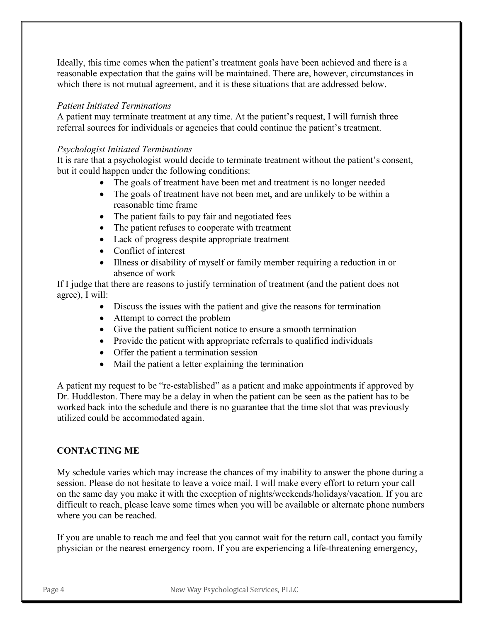Ideally, this time comes when the patient's treatment goals have been achieved and there is a reasonable expectation that the gains will be maintained. There are, however, circumstances in which there is not mutual agreement, and it is these situations that are addressed below.

# *Patient Initiated Terminations*

A patient may terminate treatment at any time. At the patient's request, I will furnish three referral sources for individuals or agencies that could continue the patient's treatment.

# *Psychologist Initiated Terminations*

It is rare that a psychologist would decide to terminate treatment without the patient's consent, but it could happen under the following conditions:

- The goals of treatment have been met and treatment is no longer needed
- The goals of treatment have not been met, and are unlikely to be within a reasonable time frame
- The patient fails to pay fair and negotiated fees
- The patient refuses to cooperate with treatment
- Lack of progress despite appropriate treatment
- Conflict of interest
- Illness or disability of myself or family member requiring a reduction in or absence of work

If I judge that there are reasons to justify termination of treatment (and the patient does not agree), I will:

- Discuss the issues with the patient and give the reasons for termination
- Attempt to correct the problem
- Give the patient sufficient notice to ensure a smooth termination
- Provide the patient with appropriate referrals to qualified individuals
- Offer the patient a termination session
- Mail the patient a letter explaining the termination

A patient my request to be "re-established" as a patient and make appointments if approved by Dr. Huddleston. There may be a delay in when the patient can be seen as the patient has to be worked back into the schedule and there is no guarantee that the time slot that was previously utilized could be accommodated again.

# **CONTACTING ME**

My schedule varies which may increase the chances of my inability to answer the phone during a session. Please do not hesitate to leave a voice mail. I will make every effort to return your call on the same day you make it with the exception of nights/weekends/holidays/vacation. If you are difficult to reach, please leave some times when you will be available or alternate phone numbers where you can be reached.

If you are unable to reach me and feel that you cannot wait for the return call, contact you family physician or the nearest emergency room. If you are experiencing a life-threatening emergency,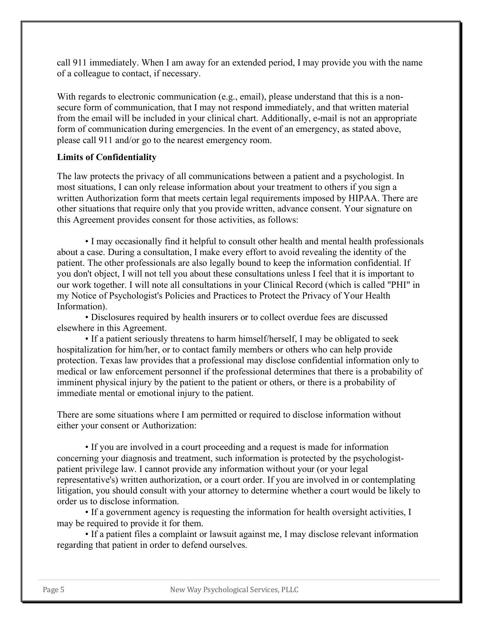call 911 immediately. When I am away for an extended period, I may provide you with the name of a colleague to contact, if necessary.

With regards to electronic communication (e.g., email), please understand that this is a nonsecure form of communication, that I may not respond immediately, and that written material from the email will be included in your clinical chart. Additionally, e-mail is not an appropriate form of communication during emergencies. In the event of an emergency, as stated above, please call 911 and/or go to the nearest emergency room.

# **Limits of Confidentiality**

The law protects the privacy of all communications between a patient and a psychologist. In most situations, I can only release information about your treatment to others if you sign a written Authorization form that meets certain legal requirements imposed by HIPAA. There are other situations that require only that you provide written, advance consent. Your signature on this Agreement provides consent for those activities, as follows:

• I may occasionally find it helpful to consult other health and mental health professionals about a case. During a consultation, I make every effort to avoid revealing the identity of the patient. The other professionals are also legally bound to keep the information confidential. If you don't object, I will not tell you about these consultations unless I feel that it is important to our work together. I will note all consultations in your Clinical Record (which is called "PHI" in my Notice of Psychologist's Policies and Practices to Protect the Privacy of Your Health Information).

• Disclosures required by health insurers or to collect overdue fees are discussed elsewhere in this Agreement.

• If a patient seriously threatens to harm himself/herself, I may be obligated to seek hospitalization for him/her, or to contact family members or others who can help provide protection. Texas law provides that a professional may disclose confidential information only to medical or law enforcement personnel if the professional determines that there is a probability of imminent physical injury by the patient to the patient or others, or there is a probability of immediate mental or emotional injury to the patient.

There are some situations where I am permitted or required to disclose information without either your consent or Authorization:

• If you are involved in a court proceeding and a request is made for information concerning your diagnosis and treatment, such information is protected by the psychologistpatient privilege law. I cannot provide any information without your (or your legal representative's) written authorization, or a court order. If you are involved in or contemplating litigation, you should consult with your attorney to determine whether a court would be likely to order us to disclose information.

• If a government agency is requesting the information for health oversight activities, I may be required to provide it for them.

• If a patient files a complaint or lawsuit against me, I may disclose relevant information regarding that patient in order to defend ourselves.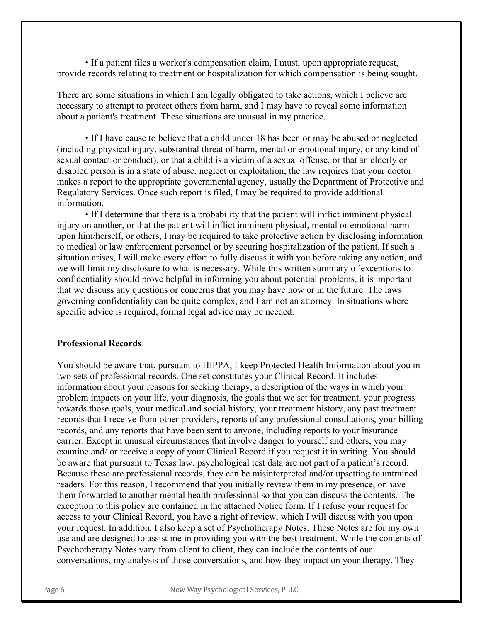• If a patient files a worker's compensation claim, I must, upon appropriate request, provide records relating to treatment or hospitalization for which compensation is being sought.

There are some situations in which I am legally obligated to take actions, which I believe are necessary to attempt to protect others from harm, and I may have to reveal some information about a patient's treatment. These situations are unusual in my practice.

• If I have cause to believe that a child under 18 has been or may be abused or neglected (including physical injury, substantial threat of harm, mental or emotional injury, or any kind of sexual contact or conduct), or that a child is a victim of a sexual offense, or that an elderly or disabled person is in a state of abuse, neglect or exploitation, the law requires that your doctor makes a report to the appropriate governmental agency, usually the Department of Protective and Regulatory Services. Once such report is filed, I may be required to provide additional information.

• If I determine that there is a probability that the patient will inflict imminent physical injury on another, or that the patient will inflict imminent physical, mental or emotional harm upon him/herself, or others, I may be required to take protective action by disclosing information to medical or law enforcement personnel or by securing hospitalization of the patient. If such a situation arises, I will make every effort to fully discuss it with you before taking any action, and we will limit my disclosure to what is necessary. While this written summary of exceptions to confidentiality should prove helpful in informing you about potential problems, it is important that we discuss any questions or concerns that you may have now or in the future. The laws governing confidentiality can be quite complex, and I am not an attorney. In situations where specific advice is required, formal legal advice may be needed.

### **Professional Records**

You should be aware that, pursuant to HIPPA, I keep Protected Health Information about you in two sets of professional records. One set constitutes your Clinical Record. It includes information about your reasons for seeking therapy, a description of the ways in which your problem impacts on your life, your diagnosis, the goals that we set for treatment, your progress towards those goals, your medical and social history, your treatment history, any past treatment records that I receive from other providers, reports of any professional consultations, your billing records, and any reports that have been sent to anyone, including reports to your insurance carrier. Except in unusual circumstances that involve danger to yourself and others, you may examine and/ or receive a copy of your Clinical Record if you request it in writing. You should be aware that pursuant to Texas law, psychological test data are not part of a patient's record. Because these are professional records, they can be misinterpreted and/or upsetting to untrained readers. For this reason, I recommend that you initially review them in my presence, or have them forwarded to another mental health professional so that you can discuss the contents. The exception to this policy are contained in the attached Notice form. If I refuse your request for access to your Clinical Record, you have a right of review, which I will discuss with you upon your request. In addition, I also keep a set of Psychotherapy Notes. These Notes are for my own use and are designed to assist me in providing you with the best treatment. While the contents of Psychotherapy Notes vary from client to client, they can include the contents of our conversations, my analysis of those conversations, and how they impact on your therapy. They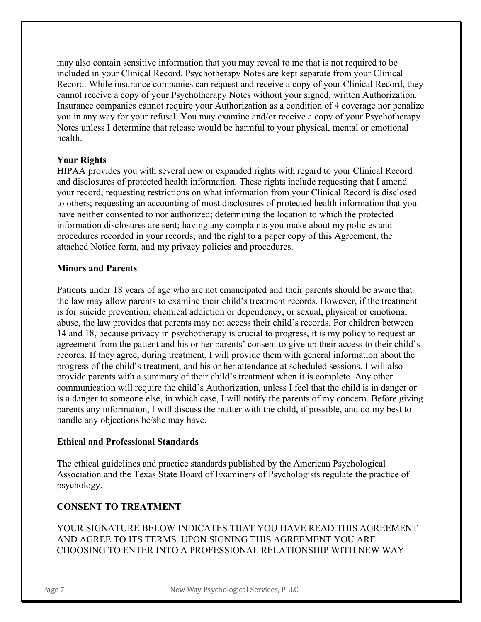may also contain sensitive information that you may reveal to me that is not required to be included in your Clinical Record. Psychotherapy Notes are kept separate from your Clinical Record. While insurance companies can request and receive a copy of your Clinical Record, they cannot receive a copy of your Psychotherapy Notes without your signed, written Authorization. Insurance companies cannot require your Authorization as a condition of 4 coverage nor penalize you in any way for your refusal. You may examine and/or receive a copy of your Psychotherapy Notes unless I determine that release would be harmful to your physical, mental or emotional health.

# **Your Rights**

HIPAA provides you with several new or expanded rights with regard to your Clinical Record and disclosures of protected health information. These rights include requesting that I amend your record; requesting restrictions on what information from your Clinical Record is disclosed to others; requesting an accounting of most disclosures of protected health information that you have neither consented to nor authorized; determining the location to which the protected information disclosures are sent; having any complaints you make about my policies and procedures recorded in your records; and the right to a paper copy of this Agreement, the attached Notice form, and my privacy policies and procedures.

# **Minors and Parents**

Patients under 18 years of age who are not emancipated and their parents should be aware that the law may allow parents to examine their child's treatment records. However, if the treatment is for suicide prevention, chemical addiction or dependency, or sexual, physical or emotional abuse, the law provides that parents may not access their child's records. For children between 14 and 18, because privacy in psychotherapy is crucial to progress, it is my policy to request an agreement from the patient and his or her parents' consent to give up their access to their child's records. If they agree, during treatment, I will provide them with general information about the progress of the child's treatment, and his or her attendance at scheduled sessions. I will also provide parents with a summary of their child's treatment when it is complete. Any other communication will require the child's Authorization, unless I feel that the child is in danger or is a danger to someone else, in which case, I will notify the parents of my concern. Before giving parents any information, I will discuss the matter with the child, if possible, and do my best to handle any objections he/she may have.

# **Ethical and Professional Standards**

The ethical guidelines and practice standards published by the American Psychological Association and the Texas State Board of Examiners of Psychologists regulate the practice of psychology.

# **CONSENT TO TREATMENT**

YOUR SIGNATURE BELOW INDICATES THAT YOU HAVE READ THIS AGREEMENT AND AGREE TO ITS TERMS. UPON SIGNING THIS AGREEMENT YOU ARE CHOOSING TO ENTER INTO A PROFESSIONAL RELATIONSHIP WITH NEW WAY